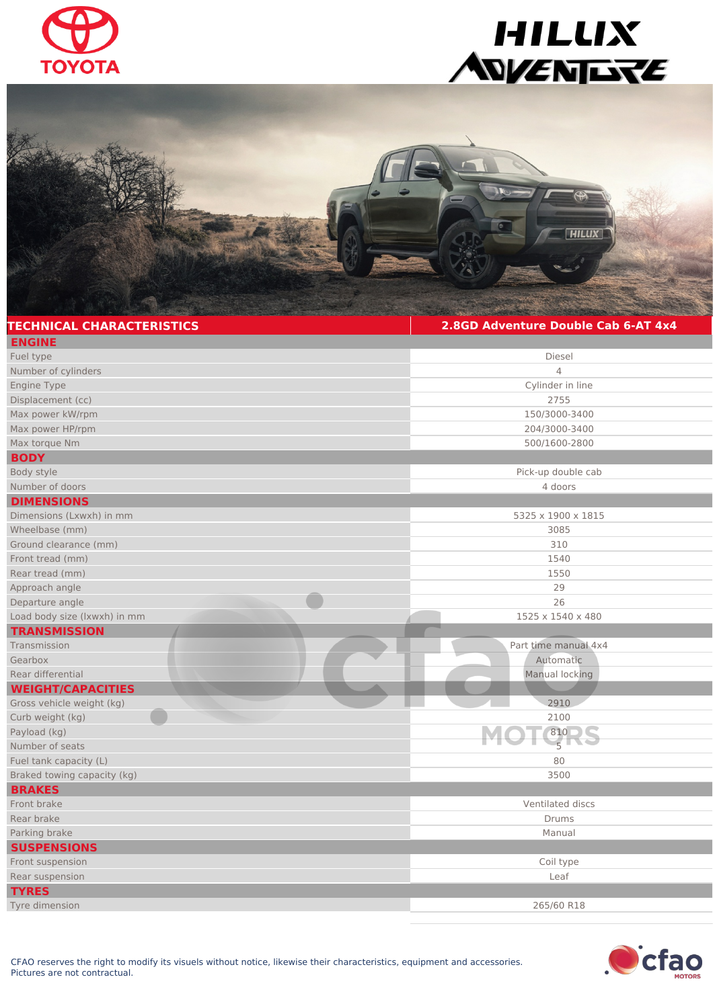





| <b>TECHNICAL CHARACTERISTICS</b> | 2.8GD Adventure Double Cab 6-AT 4x4 |
|----------------------------------|-------------------------------------|
| <b>ENGINE</b>                    |                                     |
| Fuel type                        | Diesel                              |
| Number of cylinders              | $\overline{4}$                      |
| Engine Type                      | Cylinder in line                    |
| Displacement (cc)                | 2755                                |
| Max power kW/rpm                 | 150/3000-3400                       |
| Max power HP/rpm                 | 204/3000-3400                       |
| Max torque Nm                    | 500/1600-2800                       |
| <b>BODY</b>                      |                                     |
| Body style                       | Pick-up double cab                  |
| Number of doors                  | 4 doors                             |
| <b>DIMENSIONS</b>                |                                     |
| Dimensions (Lxwxh) in mm         | 5325 x 1900 x 1815                  |
| Wheelbase (mm)                   | 3085                                |
| Ground clearance (mm)            | 310                                 |
| Front tread (mm)                 | 1540                                |
| Rear tread (mm)                  | 1550                                |
| Approach angle                   | 29                                  |
| Departure angle                  | 26                                  |
| Load body size (Ixwxh) in mm     | 1525 x 1540 x 480                   |
| <b>TRANSMISSION</b>              |                                     |
| Transmission                     | Part time manual 4x4                |
| Gearbox                          | Automatic                           |
| Rear differential                | Manual locking                      |
| <b>WEIGHT/CAPACITIES</b>         |                                     |
| Gross vehicle weight (kg)        | 2910                                |
| Curb weight (kg)                 | 2100                                |
| Payload (kg)                     | 810                                 |
| Number of seats                  | $\overline{5}$                      |
| Fuel tank capacity (L)           | 80                                  |
| Braked towing capacity (kg)      | 3500                                |
| <b>BRAKES</b>                    |                                     |
| Front brake                      | Ventilated discs                    |
| Rear brake                       | <b>Drums</b>                        |
| Parking brake                    | Manual                              |
| <b>SUSPENSIONS</b>               |                                     |
| Front suspension                 | Coil type                           |
| Rear suspension                  | Leaf                                |
| <b>TYRES</b>                     |                                     |
| Tyre dimension                   | 265/60 R18                          |
|                                  |                                     |

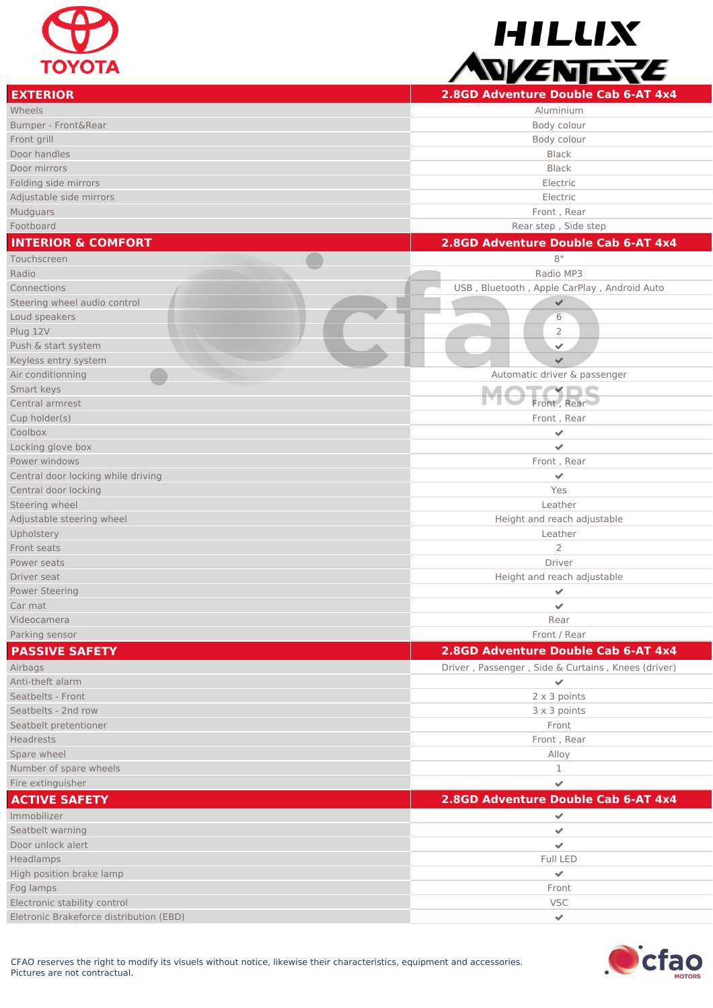

HILLIX WENDRE

| <b>EXTERIOR</b>                             | 2.8GD Adventure Double Cab 6-AT 4x4                |
|---------------------------------------------|----------------------------------------------------|
| Wheels                                      | Aluminium                                          |
| Bumper - Front&Rear                         | Body colour                                        |
| Front grill                                 | Body colour                                        |
| Door handles                                | <b>Black</b>                                       |
| Door mirrors                                | <b>Black</b>                                       |
| Folding side mirrors                        | Electric                                           |
| Adjustable side mirrors                     | Electric                                           |
| Mudguars                                    | Front, Rear                                        |
| Footboard                                   | Rear step, Side step                               |
| <b>INTERIOR &amp; COMFORT</b>               | 2.8GD Adventure Double Cab 6-AT 4x4                |
| Touchscreen                                 | 8"                                                 |
| Radio                                       | Radio MP3                                          |
| Connections                                 |                                                    |
|                                             | USB, Bluetooth, Apple CarPlay, Android Auto        |
| Steering wheel audio control                | $\checkmark$                                       |
| Loud speakers                               | 6<br>2                                             |
| Plug 12V                                    | $\checkmark$                                       |
| Push & start system<br>Keyless entry system | $\checkmark$                                       |
|                                             |                                                    |
| Air conditionning                           | Automatic driver & passenger                       |
| Smart keys                                  |                                                    |
| Central armrest                             | Front, Rear                                        |
| Cup holder(s)                               | Front, Rear                                        |
| Coolbox                                     | $\checkmark$                                       |
| Locking glove box                           | $\checkmark$                                       |
| Power windows                               | Front, Rear                                        |
| Central door locking while driving          | $\checkmark$                                       |
| Central door locking                        | Yes                                                |
| Steering wheel                              | Leather                                            |
| Adjustable steering wheel                   | Height and reach adjustable                        |
| Upholstery                                  | Leather                                            |
| Front seats                                 | 2                                                  |
| Power seats                                 | Driver                                             |
| Driver seat                                 | Height and reach adjustable                        |
| <b>Power Steering</b>                       | $\checkmark$                                       |
| Car mat                                     |                                                    |
| Videocamera                                 | Rear<br>Front / Rear                               |
| Parking sensor                              |                                                    |
| <b>PASSIVE SAFETY</b>                       | 2.8GD Adventure Double Cab 6-AT 4x4                |
| Airbags                                     | Driver, Passenger, Side & Curtains, Knees (driver) |
| Anti-theft alarm                            | $\mathbf{v}$                                       |
| Seatbelts - Front                           | $2 \times 3$ points                                |
| Seatbelts - 2nd row                         | 3 x 3 points                                       |
| Seatbelt pretentioner                       | Front                                              |
| <b>Headrests</b>                            | Front, Rear                                        |
| Spare wheel                                 | Alloy                                              |
| Number of spare wheels                      | 1                                                  |
| Fire extinguisher                           | $\overline{\phantom{a}}$                           |
| <b>ACTIVE SAFETY</b>                        | 2.8GD Adventure Double Cab 6-AT 4x4                |
| Immobilizer                                 | $\blacktriangledown$                               |
| Seatbelt warning                            | $\checkmark$                                       |
| Door unlock alert                           | $\mathcal{L}$                                      |
| Headlamps                                   | Full LED                                           |
| High position brake lamp                    | $\checkmark$                                       |
| Fog lamps                                   | Front                                              |
| Electronic stability control                | <b>VSC</b>                                         |
| Eletronic Brakeforce distribution (EBD)     | $\mathbf{v}$                                       |